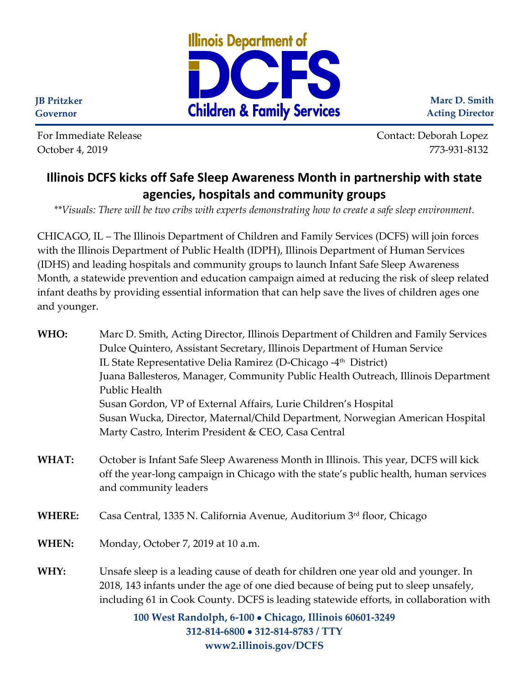

**Marc D. Smith Acting Director**

**JB Pritzker Governor**

For Immediate Release **Contact: Deborah Lopez** October 4, 2019 773-931-8132

## **Illinois DCFS kicks off Safe Sleep Awareness Month in partnership with state agencies, hospitals and community groups**

*\*\*Visuals: There will be two cribs with experts demonstrating how to create a safe sleep environment.*

CHICAGO, IL – The Illinois Department of Children and Family Services (DCFS) will join forces with the Illinois Department of Public Health (IDPH), Illinois Department of Human Services (IDHS) and leading hospitals and community groups to launch Infant Safe Sleep Awareness Month, a statewide prevention and education campaign aimed at reducing the risk of sleep related infant deaths by providing essential information that can help save the lives of children ages one and younger.

**WHO:** Marc D. Smith, Acting Director, Illinois Department of Children and Family Services Dulce Quintero, Assistant Secretary, Illinois Department of Human Service IL State Representative Delia Ramirez (D-Chicago -4th District) Juana Ballesteros, Manager, Community Public Health Outreach, Illinois Department Public Health Susan Gordon, VP of External Affairs, Lurie Children's Hospital Susan Wucka, Director, Maternal/Child Department, Norwegian American Hospital Marty Castro, Interim President & CEO, Casa Central

- **WHAT:** October is Infant Safe Sleep Awareness Month in Illinois. This year, DCFS will kick off the year-long campaign in Chicago with the state's public health, human services and community leaders
- **WHERE:** Casa Central, 1335 N. California Avenue, Auditorium 3<sup>rd</sup> floor, Chicago
- **WHEN:** Monday, October 7, 2019 at 10 a.m.
- **WHY:** Unsafe sleep is a leading cause of death for children one year old and younger. In 2018, 143 infants under the age of one died because of being put to sleep unsafely, including 61 in Cook County. DCFS is leading statewide efforts, in collaboration with

**100 West Randolph, 6-100** • **Chicago, Illinois 60601-3249 312-814-6800** • **312-814-8783 / TTY www2.illinois.gov/DCFS**